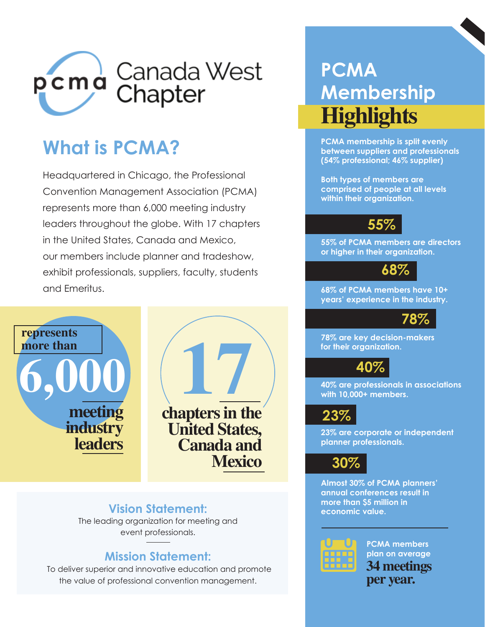

# **What is PCMA?**

Headquartered in Chicago, the Professional Convention Management Association (PCMA) represents more than 6,000 meeting industry leaders throughout the globe. With 17 chapters in the United States, Canada and Mexico, our members include planner and tradeshow, exhibit professionals, suppliers, faculty, students and Emeritus.





**Mexico**

**Vision Statement:**

The leading organization for meeting and event professionals.

## **Mission Statement:**

To deliver superior and innovative education and promote the value of professional convention management.

# **PCMA Membership Highlights**

**PCMA membership is split evenly between suppliers and professionals (54% professional; 46% supplier)** 

**Both types of members are comprised of people at all levels within their organization.** 

# **55%**

**55% of PCMA members are directors or higher in their organization.**

**68%**

**68% of PCMA members have 10+ years' experience in the industry.** 



**78% are key decision-makers for their organization.** 

# **40%**

**40% are professionals in associations with 10,000+ members.** 



**23% are corporate or independent planner professionals.** 

**30%**

**Almost 30% of PCMA planners' annual conferences result in more than \$5 million in economic value.** 



**PCMA members plan on average 34 meetings per year.**